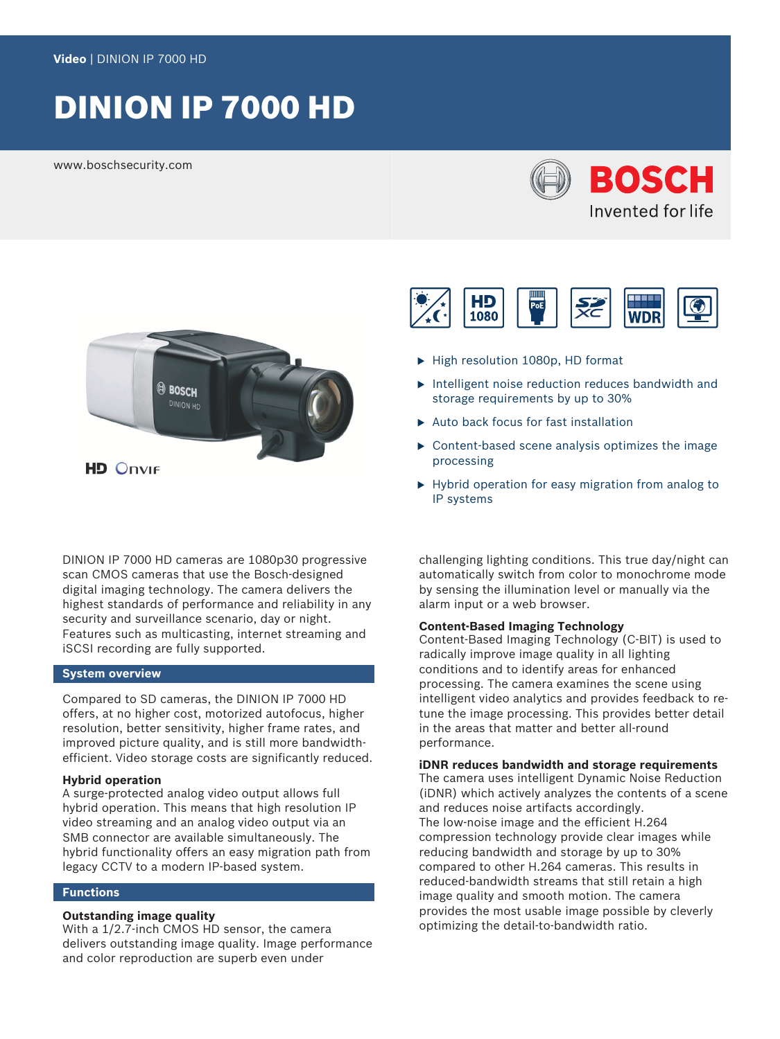# DINION IP 7000 HD

www.boschsecurity.com





DINION IP 7000 HD cameras are 1080p30 progressive scan CMOS cameras that use the Bosch-designed digital imaging technology. The camera delivers the highest standards of performance and reliability in any security and surveillance scenario, day or night. Features such as multicasting, internet streaming and iSCSI recording are fully supported.

### **System overview**

Compared to SD cameras, the DINION IP 7000 HD offers, at no higher cost, motorized autofocus, higher resolution, better sensitivity, higher frame rates, and improved picture quality, and is still more bandwidthefficient. Video storage costs are significantly reduced.

### **Hybrid operation**

A surge-protected analog video output allows full hybrid operation. This means that high resolution IP video streaming and an analog video output via an SMB connector are available simultaneously. The hybrid functionality offers an easy migration path from legacy CCTV to a modern IP-based system.

### **Functions**

### **Outstanding image quality**

With a 1/2.7-inch CMOS HD sensor, the camera delivers outstanding image quality. Image performance and color reproduction are superb even under



- $\blacktriangleright$  High resolution 1080p, HD format
- $\triangleright$  Intelligent noise reduction reduces bandwidth and storage requirements by up to 30%
- $\blacktriangleright$  Auto back focus for fast installation
- $\triangleright$  Content-based scene analysis optimizes the image processing
- $\blacktriangleright$  Hybrid operation for easy migration from analog to IP systems

challenging lighting conditions. This true day/night can automatically switch from color to monochrome mode by sensing the illumination level or manually via the alarm input or a web browser.

### **Content-Based Imaging Technology**

Content-Based Imaging Technology (C-BIT) is used to radically improve image quality in all lighting conditions and to identify areas for enhanced processing. The camera examines the scene using intelligent video analytics and provides feedback to retune the image processing. This provides better detail in the areas that matter and better all-round performance.

### **iDNR reduces bandwidth and storage requirements**

The camera uses intelligent Dynamic Noise Reduction (iDNR) which actively analyzes the contents of a scene and reduces noise artifacts accordingly. The low-noise image and the efficient H.264 compression technology provide clear images while reducing bandwidth and storage by up to 30% compared to other H.264 cameras. This results in reduced-bandwidth streams that still retain a high image quality and smooth motion. The camera provides the most usable image possible by cleverly optimizing the detail-to-bandwidth ratio.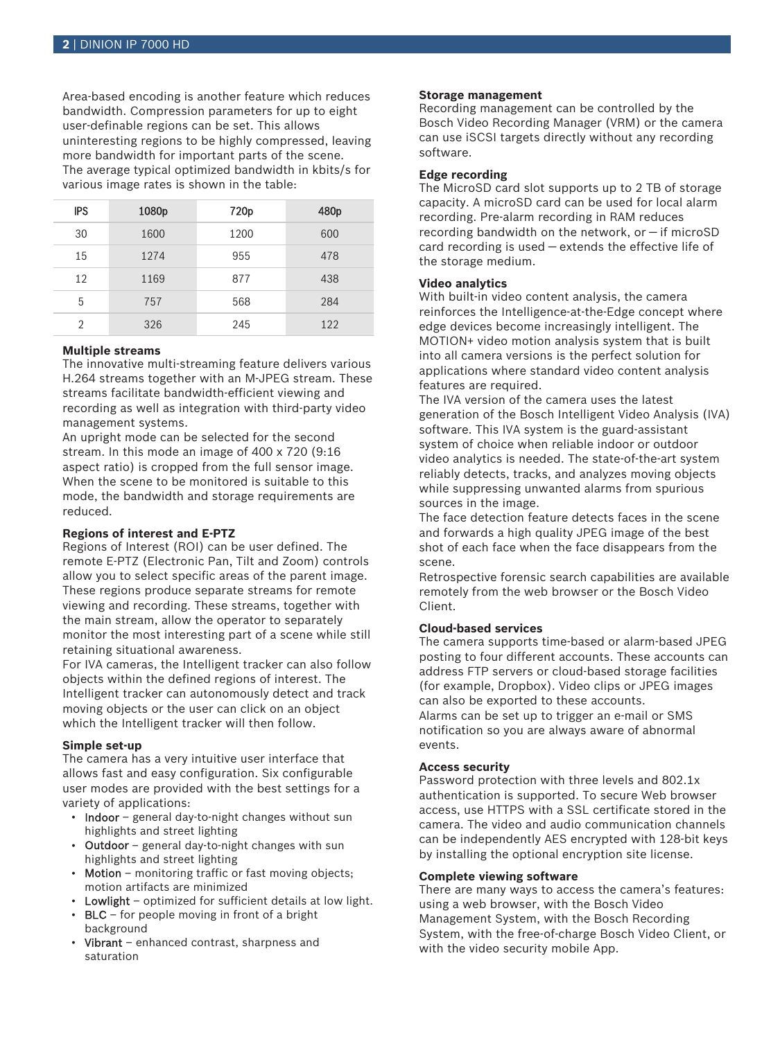Area-based encoding is another feature which reduces bandwidth. Compression parameters for up to eight user-definable regions can be set. This allows uninteresting regions to be highly compressed, leaving more bandwidth for important parts of the scene. The average typical optimized bandwidth in kbits/s for various image rates is shown in the table:

| <b>IPS</b>     | 1080p | 720 <sub>p</sub> | 480 <sub>p</sub> |
|----------------|-------|------------------|------------------|
| 30             | 1600  | 1200             | 600              |
| 15             | 1274  | 955              | 478              |
| 12             | 1169  | 877              | 438              |
| 5              | 757   | 568              | 284              |
| $\mathfrak{D}$ | 326   | 245              | 122              |

### **Multiple streams**

The innovative multi-streaming feature delivers various H.264 streams together with an M‑JPEG stream. These streams facilitate bandwidth-efficient viewing and recording as well as integration with third-party video management systems.

An upright mode can be selected for the second stream. In this mode an image of 400 x 720 (9:16 aspect ratio) is cropped from the full sensor image. When the scene to be monitored is suitable to this mode, the bandwidth and storage requirements are reduced.

### **Regions of interest and E-PTZ**

Regions of Interest (ROI) can be user defined. The remote E-PTZ (Electronic Pan, Tilt and Zoom) controls allow you to select specific areas of the parent image. These regions produce separate streams for remote viewing and recording. These streams, together with the main stream, allow the operator to separately monitor the most interesting part of a scene while still retaining situational awareness.

For IVA cameras, the Intelligent tracker can also follow objects within the defined regions of interest. The Intelligent tracker can autonomously detect and track moving objects or the user can click on an object which the Intelligent tracker will then follow.

### **Simple set-up**

The camera has a very intuitive user interface that allows fast and easy configuration. Six configurable user modes are provided with the best settings for a variety of applications:

- Indoor general day-to-night changes without sun highlights and street lighting
- Outdoor general day-to-night changes with sun highlights and street lighting
- Motion monitoring traffic or fast moving objects; motion artifacts are minimized
- Lowlight optimized for sufficient details at low light.
- BLC for people moving in front of a bright background
- Vibrant enhanced contrast, sharpness and saturation

### **Storage management**

Recording management can be controlled by the Bosch Video Recording Manager (VRM) or the camera can use iSCSI targets directly without any recording software.

### **Edge recording**

The MicroSD card slot supports up to 2 TB of storage capacity. A microSD card can be used for local alarm recording. Pre-alarm recording in RAM reduces recording bandwidth on the network, or  $-$  if microSD card recording is used — extends the effective life of the storage medium.

### **Video analytics**

With built-in video content analysis, the camera reinforces the Intelligence-at-the-Edge concept where edge devices become increasingly intelligent. The MOTION+ video motion analysis system that is built into all camera versions is the perfect solution for applications where standard video content analysis features are required.

The IVA version of the camera uses the latest generation of the Bosch Intelligent Video Analysis (IVA) software. This IVA system is the guard-assistant system of choice when reliable indoor or outdoor video analytics is needed. The state-of-the-art system reliably detects, tracks, and analyzes moving objects while suppressing unwanted alarms from spurious sources in the image.

The face detection feature detects faces in the scene and forwards a high quality JPEG image of the best shot of each face when the face disappears from the scene.

Retrospective forensic search capabilities are available remotely from the web browser or the Bosch Video Client.

### **Cloud-based services**

The camera supports time-based or alarm-based JPEG posting to four different accounts. These accounts can address FTP servers or cloud-based storage facilities (for example, Dropbox). Video clips or JPEG images can also be exported to these accounts. Alarms can be set up to trigger an e-mail or SMS notification so you are always aware of abnormal events.

### **Access security**

Password protection with three levels and 802.1x authentication is supported. To secure Web browser access, use HTTPS with a SSL certificate stored in the camera. The video and audio communication channels can be independently AES encrypted with 128-bit keys by installing the optional encryption site license.

### **Complete viewing software**

There are many ways to access the camera's features: using a web browser, with the Bosch Video Management System, with the Bosch Recording System, with the free-of-charge Bosch Video Client, or with the video security mobile App.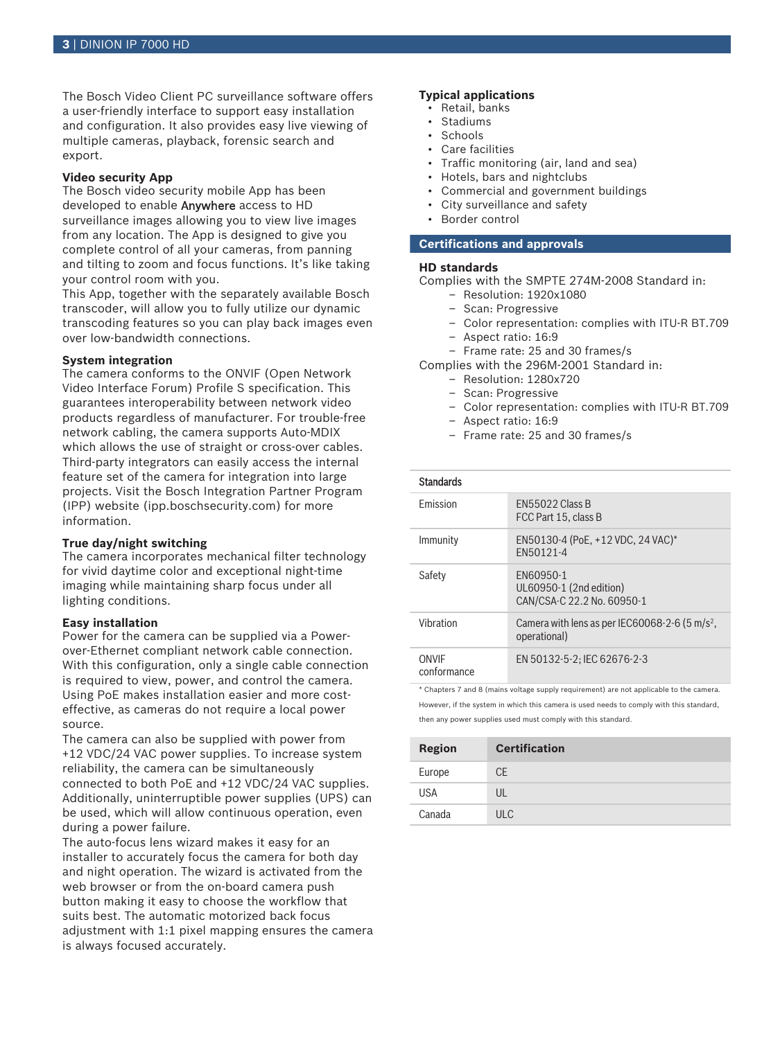The Bosch Video Client PC surveillance software offers a user-friendly interface to support easy installation and configuration. It also provides easy live viewing of multiple cameras, playback, forensic search and export.

### **Video security App**

The Bosch video security mobile App has been developed to enable Anywhere access to HD surveillance images allowing you to view live images from any location. The App is designed to give you complete control of all your cameras, from panning and tilting to zoom and focus functions. It's like taking your control room with you.

This App, together with the separately available Bosch transcoder, will allow you to fully utilize our dynamic transcoding features so you can play back images even over low-bandwidth connections.

### **System integration**

The camera conforms to the ONVIF (Open Network Video Interface Forum) Profile S specification. This guarantees interoperability between network video products regardless of manufacturer. For trouble-free network cabling, the camera supports Auto-MDIX which allows the use of straight or cross-over cables. Third-party integrators can easily access the internal feature set of the camera for integration into large projects. Visit the Bosch Integration Partner Program (IPP) website (ipp.boschsecurity.com) for more information.

### **True day/night switching**

The camera incorporates mechanical filter technology for vivid daytime color and exceptional night-time imaging while maintaining sharp focus under all lighting conditions.

### **Easy installation**

Power for the camera can be supplied via a Powerover-Ethernet compliant network cable connection. With this configuration, only a single cable connection is required to view, power, and control the camera. Using PoE makes installation easier and more costeffective, as cameras do not require a local power source.

The camera can also be supplied with power from +12 VDC/24 VAC power supplies. To increase system reliability, the camera can be simultaneously connected to both PoE and +12 VDC/24 VAC supplies. Additionally, uninterruptible power supplies (UPS) can be used, which will allow continuous operation, even during a power failure.

The auto-focus lens wizard makes it easy for an installer to accurately focus the camera for both day and night operation. The wizard is activated from the web browser or from the on-board camera push button making it easy to choose the workflow that suits best. The automatic motorized back focus adjustment with 1:1 pixel mapping ensures the camera is always focused accurately.

### **Typical applications**

- Retail, banks
- Stadiums
- Schools
- Care facilities
- Traffic monitoring (air, land and sea)
- Hotels, bars and nightclubs
- Commercial and government buildings
- City surveillance and safety
- Border control

### **Certifications and approvals**

### **HD standards**

Complies with the SMPTE 274M-2008 Standard in:

- Resolution: 1920x1080
- Scan: Progressive
- Color representation: complies with ITU-R BT.709
- Aspect ratio: 16:9
- Frame rate: 25 and 30 frames/s

Complies with the 296M-2001 Standard in:

- Resolution: 1280x720
- Scan: Progressive
- Color representation: complies with ITU-R BT.709
- Aspect ratio: 16:9
- Frame rate: 25 and 30 frames/s

| angar |  |
|-------|--|
|-------|--|

| <b>Fmission</b>      | <b>FN55022 Class B</b><br>FCC Part 15, class B                             |
|----------------------|----------------------------------------------------------------------------|
| Immunity             | EN50130-4 (PoE, +12 VDC, 24 VAC)*<br>FN50121-4                             |
| Safety               | FN60950-1<br>UL60950-1 (2nd edition)<br>CAN/CSA-C 22.2 No. 60950-1         |
| Vibration            | Camera with lens as per IEC60068-2-6 (5 m/s <sup>2</sup> ,<br>operational) |
| ONVIF<br>conformance | EN 50132-5-2: IEC 62676-2-3                                                |

\* Chapters 7 and 8 (mains voltage supply requirement) are not applicable to the camera. However, if the system in which this camera is used needs to comply with this standard, then any power supplies used must comply with this standard.

| <b>Region</b> | <b>Certification</b> |
|---------------|----------------------|
| Europe        | <b>CE</b>            |
| <b>USA</b>    | UL                   |
| Canada        | <b>ULC</b>           |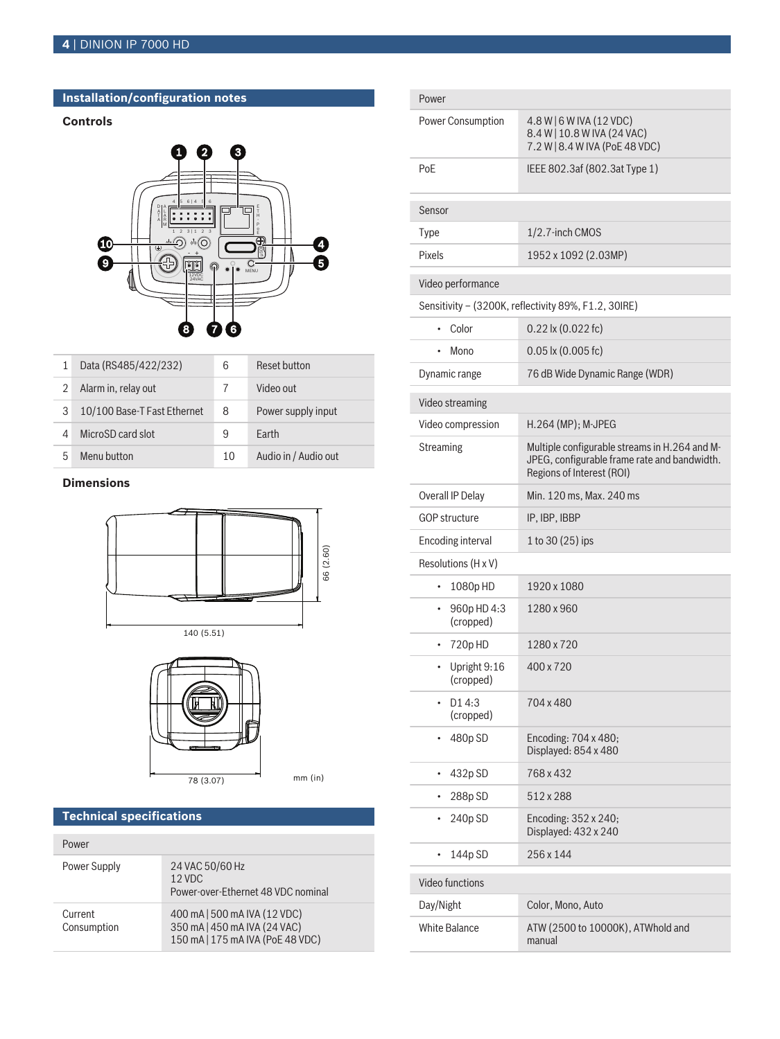## **Installation/configuration notes**

## **Controls**



|   | Data (RS485/422/232)        | 6  | Reset button         |
|---|-----------------------------|----|----------------------|
|   | Alarm in, relay out         | 7  | Video out            |
| 3 | 10/100 Base-T Fast Ethernet | 8  | Power supply input   |
|   | MicroSD card slot           | 9  | Farth                |
| 5 | Menu button                 | 10 | Audio in / Audio out |

## **Dimensions**







 $mm$  (in)

### **Technical specifications**

| Power                  |                                                                                                  |
|------------------------|--------------------------------------------------------------------------------------------------|
| Power Supply           | 24 VAC 50/60 Hz<br>$12$ VDC<br>Power-over-Ethernet 48 VDC nominal                                |
| Current<br>Consumption | 400 mA   500 mA IVA (12 VDC)<br>350 mA   450 mA IVA (24 VAC)<br>150 mA   175 mA IVA (PoE 48 VDC) |

| Power                         |                                                                                                                            |  |
|-------------------------------|----------------------------------------------------------------------------------------------------------------------------|--|
| <b>Power Consumption</b>      | 4.8 W   6 W IVA (12 VDC)<br>8.4 W   10.8 W IVA (24 VAC)<br>7.2 W   8.4 W IVA (PoE 48 VDC)                                  |  |
| PoE                           | IEEE 802.3af (802.3at Type 1)                                                                                              |  |
| Sensor                        |                                                                                                                            |  |
| <b>Type</b>                   | 1/2.7-inch CMOS                                                                                                            |  |
| Pixels                        | 1952 x 1092 (2.03MP)                                                                                                       |  |
| Video performance             |                                                                                                                            |  |
|                               | Sensitivity - (3200K, reflectivity 89%, F1.2, 30IRE)                                                                       |  |
| Color                         | $0.22$ lx $(0.022$ fc)                                                                                                     |  |
| Mono                          | $0.05$ lx $(0.005$ fc)                                                                                                     |  |
| Dynamic range                 | 76 dB Wide Dynamic Range (WDR)                                                                                             |  |
| Video streaming               |                                                                                                                            |  |
| Video compression             | H.264 (MP); M-JPEG                                                                                                         |  |
| Streaming                     | Multiple configurable streams in H.264 and M-<br>JPEG, configurable frame rate and bandwidth.<br>Regions of Interest (ROI) |  |
| Overall IP Delay              | Min. 120 ms, Max. 240 ms                                                                                                   |  |
| <b>GOP structure</b>          | IP, IBP, IBBP                                                                                                              |  |
| Encoding interval             | 1 to 30 (25) ips                                                                                                           |  |
| Resolutions (H x V)           |                                                                                                                            |  |
| 1080pHD<br>$\bullet$          | 1920 x 1080                                                                                                                |  |
| 960p HD 4:3<br>٠<br>(cropped) | 1280 x 960                                                                                                                 |  |
| 720p HD<br>٠                  | 1280 x 720                                                                                                                 |  |
| Upright 9:16<br>(cropped)     | 400 x 720                                                                                                                  |  |
| D1 4:3<br>(cropped)           | 704 x 480                                                                                                                  |  |
| 480p SD<br>٠                  | Encoding: 704 x 480;<br>Displayed: 854 x 480                                                                               |  |
| 432p SD<br>۰                  | 768 x 432                                                                                                                  |  |
| 288p SD                       | 512 x 288                                                                                                                  |  |
| 240p SD                       | Encoding: 352 x 240;<br>Displayed: 432 x 240                                                                               |  |
| 144p SD<br>$\bullet$          | 256 x 144                                                                                                                  |  |
| Video functions               |                                                                                                                            |  |
| Day/Night                     | Color, Mono, Auto                                                                                                          |  |
| <b>White Balance</b>          | ATW (2500 to 10000K), ATWhold and<br>manual                                                                                |  |
|                               |                                                                                                                            |  |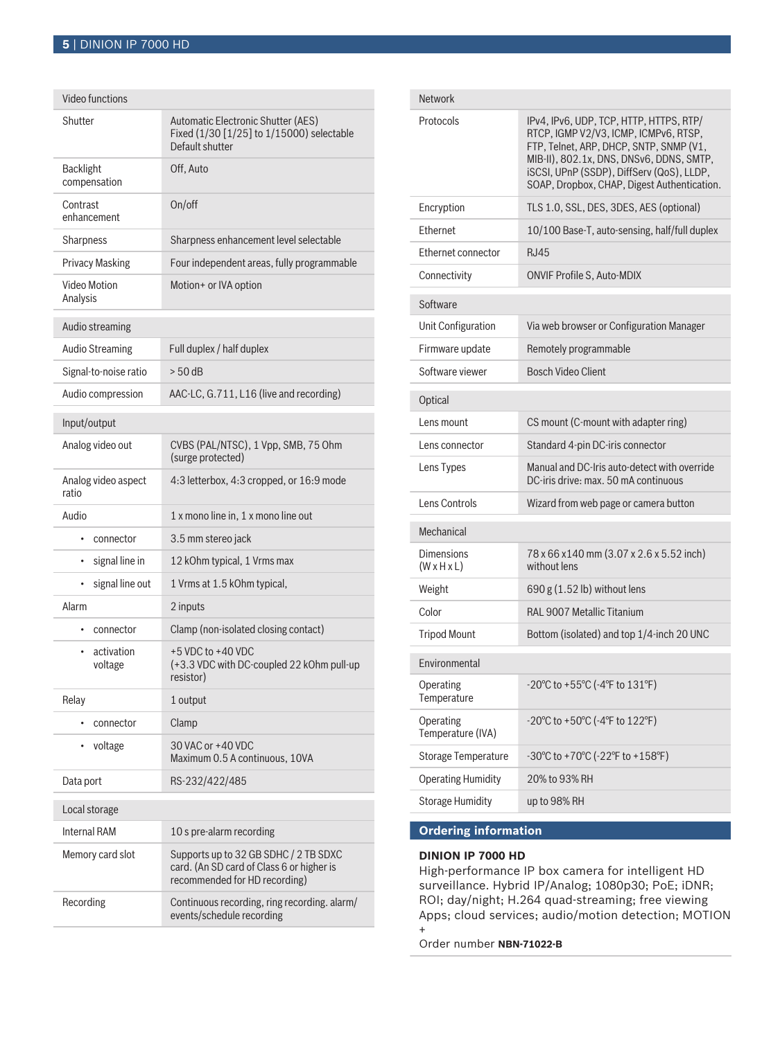| Video functions                    |                                                                                                                     |  |
|------------------------------------|---------------------------------------------------------------------------------------------------------------------|--|
| Shutter                            | Automatic Electronic Shutter (AES)<br>Fixed (1/30 [1/25] to 1/15000) selectable<br>Default shutter                  |  |
| <b>Backlight</b><br>compensation   | Off, Auto                                                                                                           |  |
| Contrast<br>enhancement            | On/off                                                                                                              |  |
| Sharpness                          | Sharpness enhancement level selectable                                                                              |  |
| <b>Privacy Masking</b>             | Four independent areas, fully programmable                                                                          |  |
| Video Motion<br>Analysis           | Motion+ or IVA option                                                                                               |  |
| Audio streaming                    |                                                                                                                     |  |
| <b>Audio Streaming</b>             | Full duplex / half duplex                                                                                           |  |
| Signal-to-noise ratio              | $> 50$ dB                                                                                                           |  |
| Audio compression                  | AAC-LC, G.711, L16 (live and recording)                                                                             |  |
| Input/output                       |                                                                                                                     |  |
| Analog video out                   | CVBS (PAL/NTSC), 1 Vpp, SMB, 75 Ohm<br>(surge protected)                                                            |  |
| Analog video aspect<br>ratio       | 4:3 letterbox, 4:3 cropped, or 16:9 mode                                                                            |  |
| Audio                              | 1 x mono line in, 1 x mono line out                                                                                 |  |
| connector<br>$\bullet$             | 3.5 mm stereo jack                                                                                                  |  |
| signal line in<br>$\bullet$        | 12 kOhm typical, 1 Vrms max                                                                                         |  |
| signal line out<br>$\bullet$       | 1 Vrms at 1.5 kOhm typical,                                                                                         |  |
| Alarm                              | 2 inputs                                                                                                            |  |
| connector<br>$\bullet$             | Clamp (non-isolated closing contact)                                                                                |  |
| activation<br>$\bullet$<br>voltage | $+5$ VDC to $+40$ VDC<br>(+3.3 VDC with DC-coupled 22 kOhm pull-up<br>resistor)                                     |  |
| Relay                              | 1 output                                                                                                            |  |
| connector<br>$\bullet$             | Clamp                                                                                                               |  |
| voltage<br>٠                       | 30 VAC or +40 VDC<br>Maximum 0.5 A continuous, 10VA                                                                 |  |
| Data port                          | RS-232/422/485                                                                                                      |  |
| Local storage                      |                                                                                                                     |  |
| <b>Internal RAM</b>                | 10 s pre-alarm recording                                                                                            |  |
| Memory card slot                   | Supports up to 32 GB SDHC / 2 TB SDXC<br>card. (An SD card of Class 6 or higher is<br>recommended for HD recording) |  |
| Recording                          | Continuous recording, ring recording. alarm/<br>events/schedule recording                                           |  |

| Network                                      |                                                                                                                                                                                                                                                                     |
|----------------------------------------------|---------------------------------------------------------------------------------------------------------------------------------------------------------------------------------------------------------------------------------------------------------------------|
| Protocols                                    | IPv4, IPv6, UDP, TCP, HTTP, HTTPS, RTP/<br>RTCP, IGMP V2/V3, ICMP, ICMPv6, RTSP,<br>FTP, Telnet, ARP, DHCP, SNTP, SNMP (V1,<br>MIB-II), 802.1x, DNS, DNSv6, DDNS, SMTP,<br>iSCSI, UPnP (SSDP), DiffServ (QoS), LLDP,<br>SOAP, Dropbox, CHAP, Digest Authentication. |
| Encryption                                   | TLS 1.0, SSL, DES, 3DES, AES (optional)                                                                                                                                                                                                                             |
| Ethernet                                     | 10/100 Base-T, auto-sensing, half/full duplex                                                                                                                                                                                                                       |
| Ethernet connector                           | <b>RJ45</b>                                                                                                                                                                                                                                                         |
| Connectivity                                 | <b>ONVIF Profile S, Auto-MDIX</b>                                                                                                                                                                                                                                   |
| Software                                     |                                                                                                                                                                                                                                                                     |
| Unit Configuration                           | Via web browser or Configuration Manager                                                                                                                                                                                                                            |
| Firmware update                              | Remotely programmable                                                                                                                                                                                                                                               |
| Software viewer                              | <b>Bosch Video Client</b>                                                                                                                                                                                                                                           |
| Optical                                      |                                                                                                                                                                                                                                                                     |
| Lens mount                                   | CS mount (C-mount with adapter ring)                                                                                                                                                                                                                                |
| Lens connector                               | Standard 4-pin DC-iris connector                                                                                                                                                                                                                                    |
| Lens Types                                   | Manual and DC-Iris auto-detect with override<br>DC-iris drive: max, 50 mA continuous                                                                                                                                                                                |
| Lens Controls                                | Wizard from web page or camera button                                                                                                                                                                                                                               |
| Mechanical                                   |                                                                                                                                                                                                                                                                     |
| <b>Dimensions</b><br>$(W \times H \times L)$ | 78 x 66 x 140 mm (3.07 x 2.6 x 5.52 inch)<br>without lens                                                                                                                                                                                                           |
| Weight                                       | $690 g (1.52 lb)$ without lens                                                                                                                                                                                                                                      |
| Color                                        | <b>RAL 9007 Metallic Titanium</b>                                                                                                                                                                                                                                   |
| <b>Tripod Mount</b>                          | Bottom (isolated) and top 1/4-inch 20 UNC                                                                                                                                                                                                                           |
| Environmental                                |                                                                                                                                                                                                                                                                     |
| Operating<br>Temperature                     | $-20^{\circ}$ C to $+55^{\circ}$ C ( $-4^{\circ}$ F to $131^{\circ}$ F)                                                                                                                                                                                             |
| Operating<br>Temperature (IVA)               | $-20^{\circ}$ C to $+50^{\circ}$ C ( $-4^{\circ}$ F to $122^{\circ}$ F)                                                                                                                                                                                             |
| <b>Storage Temperature</b>                   | $-30^{\circ}$ C to $+70^{\circ}$ C ( $-22^{\circ}$ F to $+158^{\circ}$ F)                                                                                                                                                                                           |
| <b>Operating Humidity</b>                    | 20% to 93% RH                                                                                                                                                                                                                                                       |
| <b>Storage Humidity</b>                      | up to 98% RH                                                                                                                                                                                                                                                        |
|                                              |                                                                                                                                                                                                                                                                     |

### **Ordering information**

### **DINION IP 7000 HD**

High-performance IP box camera for intelligent HD surveillance. Hybrid IP/Analog; 1080p30; PoE; iDNR; ROI; day/night; H.264 quad-streaming; free viewing Apps; cloud services; audio/motion detection; MOTION +

Order number **NBN-71022-B**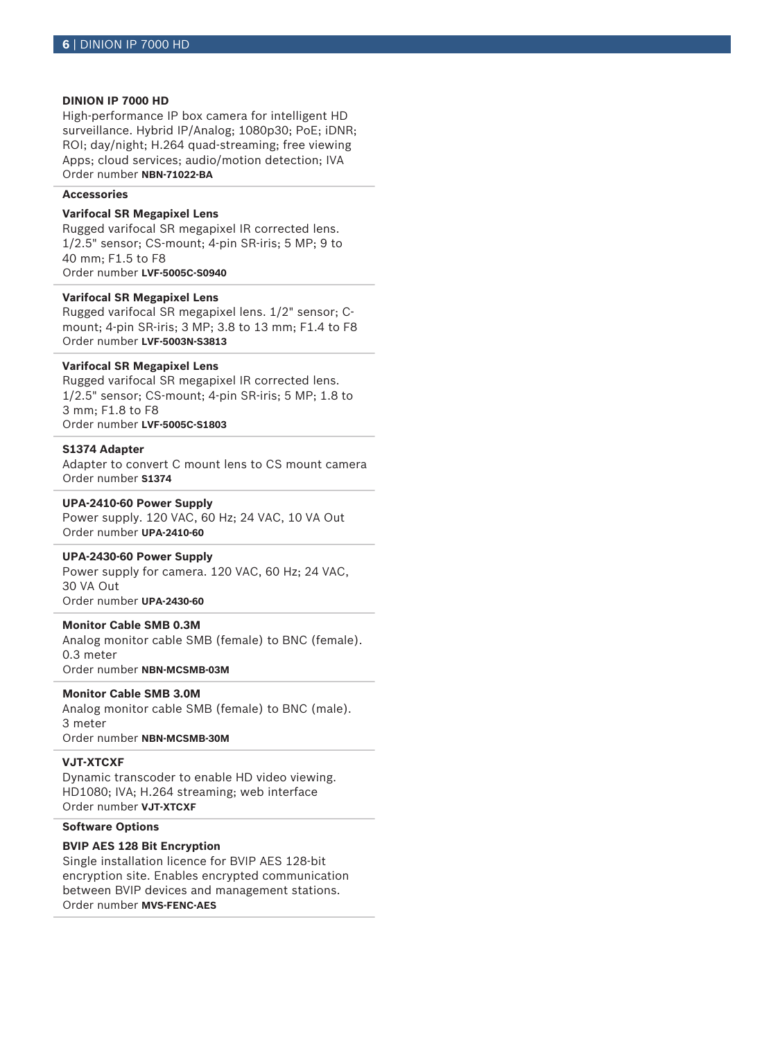### **DINION IP 7000 HD**

High-performance IP box camera for intelligent HD surveillance. Hybrid IP/Analog; 1080p30; PoE; iDNR; ROI; day/night; H.264 quad-streaming; free viewing Apps; cloud services; audio/motion detection; IVA Order number **NBN-71022-BA**

### **Accessories**

### **Varifocal SR Megapixel Lens**

Rugged varifocal SR megapixel IR corrected lens. 1/2.5" sensor; CS-mount; 4-pin SR-iris; 5 MP; 9 to 40 mm; F1.5 to F8 Order number **LVF-5005C-S0940**

### **Varifocal SR Megapixel Lens**

Rugged varifocal SR megapixel lens. 1/2" sensor; Cmount; 4-pin SR-iris; 3 MP; 3.8 to 13 mm; F1.4 to F8 Order number **LVF-5003N-S3813**

### **Varifocal SR Megapixel Lens**

Rugged varifocal SR megapixel IR corrected lens. 1/2.5" sensor; CS-mount; 4-pin SR-iris; 5 MP; 1.8 to 3 mm; F1.8 to F8 Order number **LVF-5005C-S1803**

### **S1374 Adapter**

Adapter to convert C mount lens to CS mount camera Order number **S1374**

### **UPA-2410-60 Power Supply**

Power supply. 120 VAC, 60 Hz; 24 VAC, 10 VA Out Order number **UPA-2410-60**

### **UPA-2430-60 Power Supply**

Power supply for camera. 120 VAC, 60 Hz; 24 VAC, 30 VA Out Order number **UPA-2430-60**

#### **Monitor Cable SMB 0.3M**

Analog monitor cable SMB (female) to BNC (female). 0.3 meter Order number **NBN-MCSMB-03M**

#### **Monitor Cable SMB 3.0M**

Analog monitor cable SMB (female) to BNC (male). 3 meter Order number **NBN-MCSMB-30M**

### **VJT-XTCXF**

Dynamic transcoder to enable HD video viewing. HD1080; IVA; H.264 streaming; web interface Order number **VJT-XTCXF**

### **Software Options**

### **BVIP AES 128 Bit Encryption**

Single installation licence for BVIP AES 128-bit encryption site. Enables encrypted communication between BVIP devices and management stations. Order number **MVS-FENC-AES**